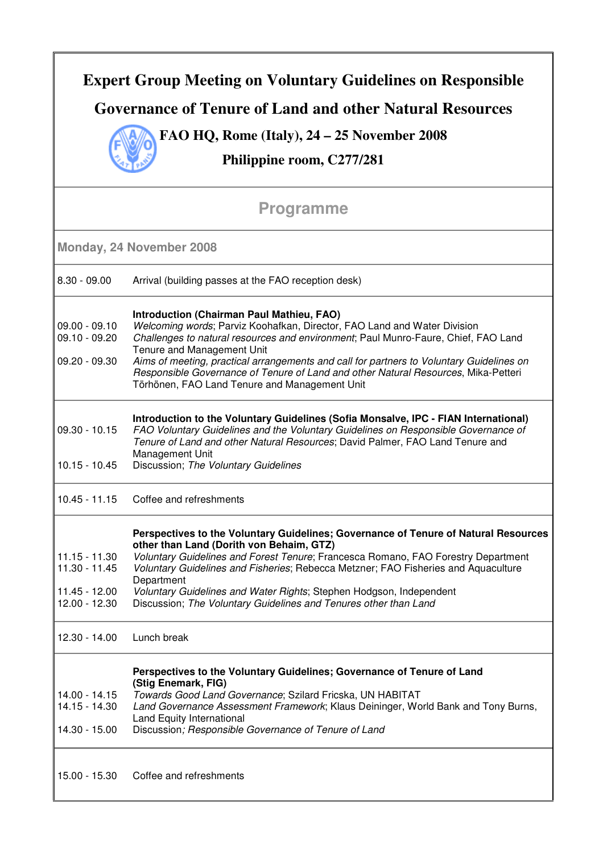| <b>Expert Group Meeting on Voluntary Guidelines on Responsible</b><br>Governance of Tenure of Land and other Natural Resources<br>FAO HQ, Rome (Italy), $24 - 25$ November 2008<br>Philippine room, C277/281 |                                                                                                                                                                                                                                                                                                                                                                                                                                                                                     |  |                |                                                     |
|--------------------------------------------------------------------------------------------------------------------------------------------------------------------------------------------------------------|-------------------------------------------------------------------------------------------------------------------------------------------------------------------------------------------------------------------------------------------------------------------------------------------------------------------------------------------------------------------------------------------------------------------------------------------------------------------------------------|--|----------------|-----------------------------------------------------|
|                                                                                                                                                                                                              |                                                                                                                                                                                                                                                                                                                                                                                                                                                                                     |  |                | <b>Programme</b>                                    |
|                                                                                                                                                                                                              |                                                                                                                                                                                                                                                                                                                                                                                                                                                                                     |  |                | Monday, 24 November 2008                            |
|                                                                                                                                                                                                              |                                                                                                                                                                                                                                                                                                                                                                                                                                                                                     |  | $8.30 - 09.00$ | Arrival (building passes at the FAO reception desk) |
| $09.00 - 09.10$<br>$09.10 - 09.20$<br>$09.20 - 09.30$                                                                                                                                                        | <b>Introduction (Chairman Paul Mathieu, FAO)</b><br>Welcoming words; Parviz Koohafkan, Director, FAO Land and Water Division<br>Challenges to natural resources and environment; Paul Munro-Faure, Chief, FAO Land<br>Tenure and Management Unit<br>Aims of meeting, practical arrangements and call for partners to Voluntary Guidelines on<br>Responsible Governance of Tenure of Land and other Natural Resources, Mika-Petteri<br>Törhönen, FAO Land Tenure and Management Unit |  |                |                                                     |
| $09.30 - 10.15$<br>$10.15 - 10.45$                                                                                                                                                                           | Introduction to the Voluntary Guidelines (Sofia Monsalve, IPC - FIAN International)<br>FAO Voluntary Guidelines and the Voluntary Guidelines on Responsible Governance of<br>Tenure of Land and other Natural Resources; David Palmer, FAO Land Tenure and<br>Management Unit<br>Discussion; The Voluntary Guidelines                                                                                                                                                               |  |                |                                                     |
| $10.45 - 11.15$                                                                                                                                                                                              | Coffee and refreshments                                                                                                                                                                                                                                                                                                                                                                                                                                                             |  |                |                                                     |
| $11.15 - 11.30$<br>$11.30 - 11.45$<br>11.45 - 12.00<br>12.00 - 12.30                                                                                                                                         | Perspectives to the Voluntary Guidelines; Governance of Tenure of Natural Resources<br>other than Land (Dorith von Behaim, GTZ)<br>Voluntary Guidelines and Forest Tenure; Francesca Romano, FAO Forestry Department<br>Voluntary Guidelines and Fisheries; Rebecca Metzner; FAO Fisheries and Aquaculture<br>Department<br>Voluntary Guidelines and Water Rights; Stephen Hodgson, Independent<br>Discussion; The Voluntary Guidelines and Tenures other than Land                 |  |                |                                                     |
| 12.30 - 14.00                                                                                                                                                                                                | Lunch break                                                                                                                                                                                                                                                                                                                                                                                                                                                                         |  |                |                                                     |
| 14.00 - 14.15<br>14.15 - 14.30<br>14.30 - 15.00                                                                                                                                                              | Perspectives to the Voluntary Guidelines; Governance of Tenure of Land<br>(Stig Enemark, FIG)<br>Towards Good Land Governance; Szilard Fricska, UN HABITAT<br>Land Governance Assessment Framework; Klaus Deininger, World Bank and Tony Burns,<br>Land Equity International<br>Discussion; Responsible Governance of Tenure of Land                                                                                                                                                |  |                |                                                     |
| 15.00 - 15.30                                                                                                                                                                                                | Coffee and refreshments                                                                                                                                                                                                                                                                                                                                                                                                                                                             |  |                |                                                     |

٦

Г